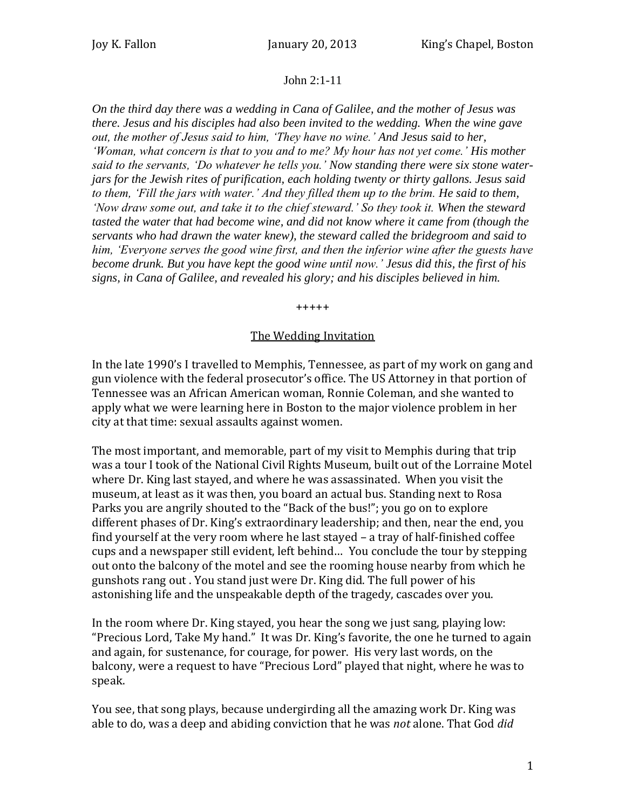## John 2:1-11

*On the third day there was a wedding in Cana of Galilee, and the mother of Jesus was there. Jesus and his disciples had also been invited to the wedding. When the wine gave out, the mother of Jesus said to him, 'They have no wine.' And Jesus said to her, 'Woman, what concern is that to you and to me? My hour has not yet come.' His mother said to the servants, 'Do whatever he tells you.' Now standing there were six stone waterjars for the Jewish rites of purification, each holding twenty or thirty gallons. Jesus said to them, 'Fill the jars with water.' And they filled them up to the brim. He said to them, 'Now draw some out, and take it to the chief steward.' So they took it. When the steward tasted the water that had become wine, and did not know where it came from (though the servants who had drawn the water knew), the steward called the bridegroom and said to him, 'Everyone serves the good wine first, and then the inferior wine after the guests have become drunk. But you have kept the good wine until now.' Jesus did this, the first of his signs, in Cana of Galilee, and revealed his glory; and his disciples believed in him.*

+++++

## The Wedding Invitation

In the late 1990's I travelled to Memphis, Tennessee, as part of my work on gang and gun violence with the federal prosecutor's office. The US Attorney in that portion of Tennessee was an African American woman, Ronnie Coleman, and she wanted to apply what we were learning here in Boston to the major violence problem in her city at that time: sexual assaults against women.

The most important, and memorable, part of my visit to Memphis during that trip was a tour I took of the National Civil Rights Museum, built out of the Lorraine Motel where Dr. King last stayed, and where he was assassinated. When you visit the museum, at least as it was then, you board an actual bus. Standing next to Rosa Parks you are angrily shouted to the "Back of the bus!"; you go on to explore different phases of Dr. King's extraordinary leadership; and then, near the end, you find yourself at the very room where he last stayed – a tray of half-finished coffee cups and a newspaper still evident, left behind… You conclude the tour by stepping out onto the balcony of the motel and see the rooming house nearby from which he gunshots rang out . You stand just were Dr. King did. The full power of his astonishing life and the unspeakable depth of the tragedy, cascades over you.

In the room where Dr. King stayed, you hear the song we just sang, playing low: "Precious Lord, Take My hand." It was Dr. King's favorite, the one he turned to again and again, for sustenance, for courage, for power. His very last words, on the balcony, were a request to have "Precious Lord" played that night, where he was to speak.

You see, that song plays, because undergirding all the amazing work Dr. King was able to do, was a deep and abiding conviction that he was *not* alone. That God *did*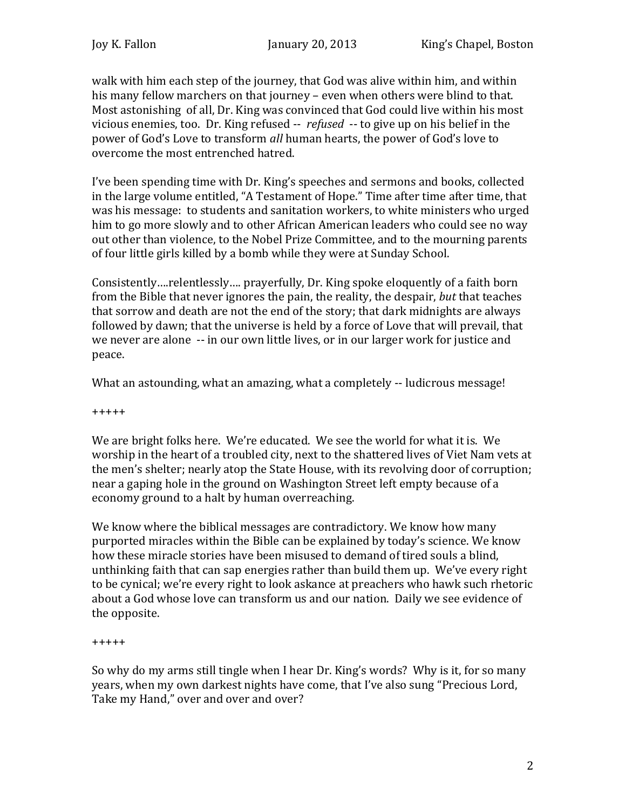walk with him each step of the journey, that God was alive within him, and within his many fellow marchers on that journey – even when others were blind to that. Most astonishing of all, Dr. King was convinced that God could live within his most vicious enemies, too. Dr. King refused -- *refused* -- to give up on his belief in the power of God's Love to transform *all* human hearts, the power of God's love to overcome the most entrenched hatred.

I've been spending time with Dr. King's speeches and sermons and books, collected in the large volume entitled, "A Testament of Hope." Time after time after time, that was his message: to students and sanitation workers, to white ministers who urged him to go more slowly and to other African American leaders who could see no way out other than violence, to the Nobel Prize Committee, and to the mourning parents of four little girls killed by a bomb while they were at Sunday School.

Consistently….relentlessly…. prayerfully, Dr. King spoke eloquently of a faith born from the Bible that never ignores the pain, the reality, the despair, *but* that teaches that sorrow and death are not the end of the story; that dark midnights are always followed by dawn; that the universe is held by a force of Love that will prevail, that we never are alone -- in our own little lives, or in our larger work for justice and peace.

What an astounding, what an amazing, what a completely -- ludicrous message!

+++++

We are bright folks here. We're educated. We see the world for what it is. We worship in the heart of a troubled city, next to the shattered lives of Viet Nam vets at the men's shelter; nearly atop the State House, with its revolving door of corruption; near a gaping hole in the ground on Washington Street left empty because of a economy ground to a halt by human overreaching.

We know where the biblical messages are contradictory. We know how many purported miracles within the Bible can be explained by today's science. We know how these miracle stories have been misused to demand of tired souls a blind, unthinking faith that can sap energies rather than build them up. We've every right to be cynical; we're every right to look askance at preachers who hawk such rhetoric about a God whose love can transform us and our nation. Daily we see evidence of the opposite.

+++++

So why do my arms still tingle when I hear Dr. King's words? Why is it, for so many years, when my own darkest nights have come, that I've also sung "Precious Lord, Take my Hand," over and over and over?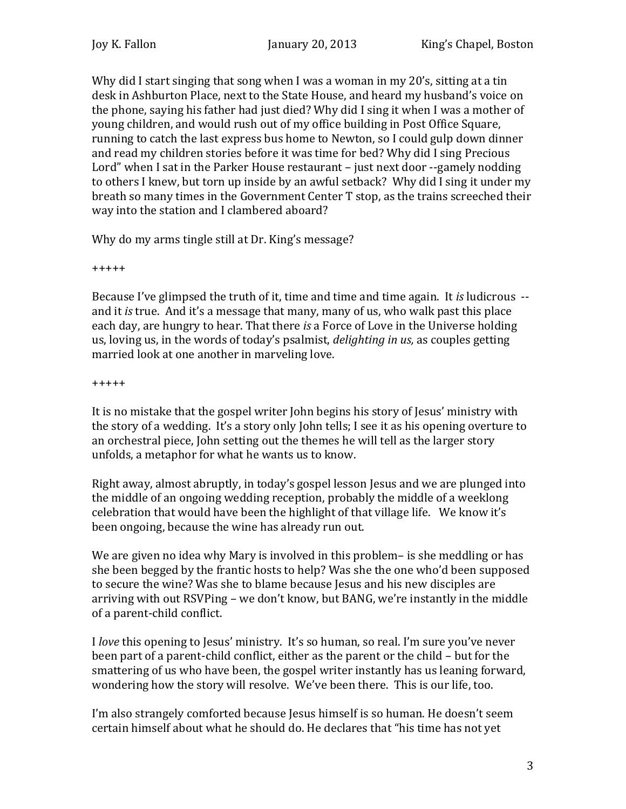Why did I start singing that song when I was a woman in my 20's, sitting at a tin desk in Ashburton Place, next to the State House, and heard my husband's voice on the phone, saying his father had just died? Why did I sing it when I was a mother of young children, and would rush out of my office building in Post Office Square, running to catch the last express bus home to Newton, so I could gulp down dinner and read my children stories before it was time for bed? Why did I sing Precious Lord" when I sat in the Parker House restaurant – just next door --gamely nodding to others I knew, but torn up inside by an awful setback? Why did I sing it under my breath so many times in the Government Center T stop, as the trains screeched their way into the station and I clambered aboard?

Why do my arms tingle still at Dr. King's message?

+++++

Because I've glimpsed the truth of it, time and time and time again. It *is* ludicrous - and it *is* true. And it's a message that many, many of us, who walk past this place each day, are hungry to hear. That there *is* a Force of Love in the Universe holding us, loving us, in the words of today's psalmist, *delighting in us,* as couples getting married look at one another in marveling love.

+++++

It is no mistake that the gospel writer John begins his story of Jesus' ministry with the story of a wedding. It's a story only John tells; I see it as his opening overture to an orchestral piece, John setting out the themes he will tell as the larger story unfolds, a metaphor for what he wants us to know.

Right away, almost abruptly, in today's gospel lesson Jesus and we are plunged into the middle of an ongoing wedding reception, probably the middle of a weeklong celebration that would have been the highlight of that village life. We know it's been ongoing, because the wine has already run out.

We are given no idea why Mary is involved in this problem– is she meddling or has she been begged by the frantic hosts to help? Was she the one who'd been supposed to secure the wine? Was she to blame because Jesus and his new disciples are arriving with out RSVPing – we don't know, but BANG, we're instantly in the middle of a parent-child conflict.

I *love* this opening to Jesus' ministry. It's so human, so real. I'm sure you've never been part of a parent-child conflict, either as the parent or the child – but for the smattering of us who have been, the gospel writer instantly has us leaning forward, wondering how the story will resolve. We've been there. This is our life, too.

I'm also strangely comforted because Jesus himself is so human. He doesn't seem certain himself about what he should do. He declares that "his time has not yet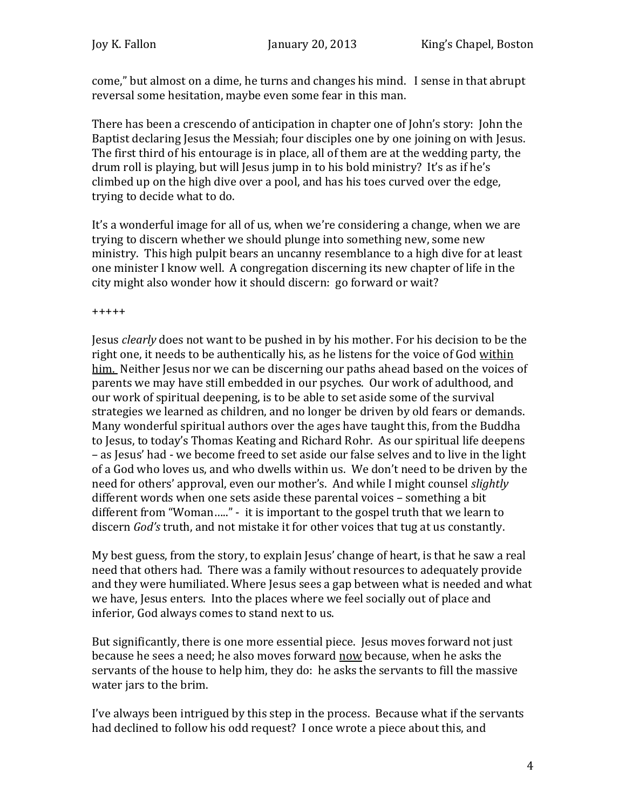come," but almost on a dime, he turns and changes his mind. I sense in that abrupt reversal some hesitation, maybe even some fear in this man.

There has been a crescendo of anticipation in chapter one of John's story: John the Baptist declaring Jesus the Messiah; four disciples one by one joining on with Jesus. The first third of his entourage is in place, all of them are at the wedding party, the drum roll is playing, but will Jesus jump in to his bold ministry? It's as if he's climbed up on the high dive over a pool, and has his toes curved over the edge, trying to decide what to do.

It's a wonderful image for all of us, when we're considering a change, when we are trying to discern whether we should plunge into something new, some new ministry. This high pulpit bears an uncanny resemblance to a high dive for at least one minister I know well. A congregation discerning its new chapter of life in the city might also wonder how it should discern: go forward or wait?

+++++

Jesus *clearly* does not want to be pushed in by his mother. For his decision to be the right one, it needs to be authentically his, as he listens for the voice of God within him. Neither Jesus nor we can be discerning our paths ahead based on the voices of parents we may have still embedded in our psyches. Our work of adulthood, and our work of spiritual deepening, is to be able to set aside some of the survival strategies we learned as children, and no longer be driven by old fears or demands. Many wonderful spiritual authors over the ages have taught this, from the Buddha to Jesus, to today's Thomas Keating and Richard Rohr. As our spiritual life deepens – as Jesus' had - we become freed to set aside our false selves and to live in the light of a God who loves us, and who dwells within us. We don't need to be driven by the need for others' approval, even our mother's. And while I might counsel *slightly* different words when one sets aside these parental voices – something a bit different from "Woman….." - it is important to the gospel truth that we learn to discern *God's* truth, and not mistake it for other voices that tug at us constantly.

My best guess, from the story, to explain Jesus' change of heart, is that he saw a real need that others had. There was a family without resources to adequately provide and they were humiliated. Where Jesus sees a gap between what is needed and what we have, Jesus enters. Into the places where we feel socially out of place and inferior, God always comes to stand next to us.

But significantly, there is one more essential piece. Jesus moves forward not just because he sees a need; he also moves forward now because, when he asks the servants of the house to help him, they do: he asks the servants to fill the massive water jars to the brim.

I've always been intrigued by this step in the process. Because what if the servants had declined to follow his odd request? I once wrote a piece about this, and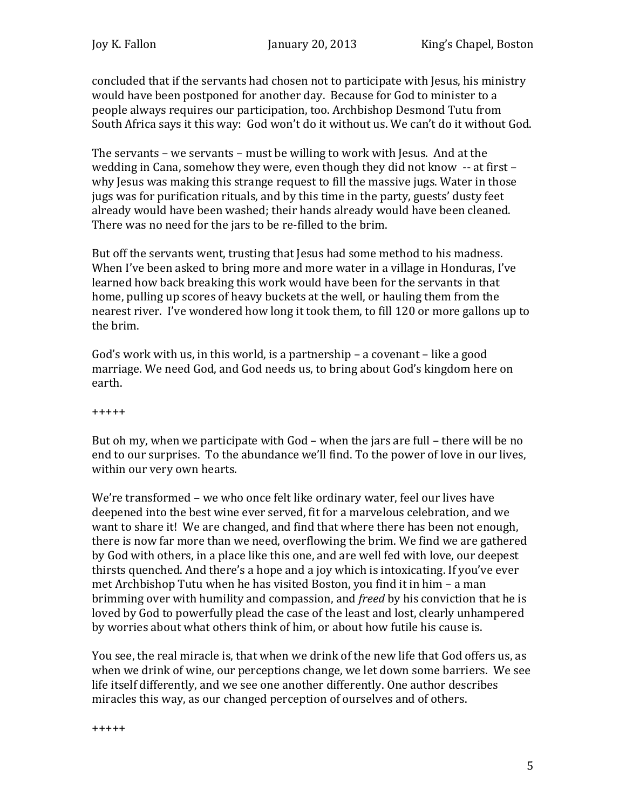concluded that if the servants had chosen not to participate with Jesus, his ministry would have been postponed for another day. Because for God to minister to a people always requires our participation, too. Archbishop Desmond Tutu from South Africa says it this way: God won't do it without us. We can't do it without God.

The servants – we servants – must be willing to work with Jesus. And at the wedding in Cana, somehow they were, even though they did not know -- at first – why Jesus was making this strange request to fill the massive jugs. Water in those jugs was for purification rituals, and by this time in the party, guests' dusty feet already would have been washed; their hands already would have been cleaned. There was no need for the jars to be re-filled to the brim.

But off the servants went, trusting that Jesus had some method to his madness. When I've been asked to bring more and more water in a village in Honduras, I've learned how back breaking this work would have been for the servants in that home, pulling up scores of heavy buckets at the well, or hauling them from the nearest river. I've wondered how long it took them, to fill 120 or more gallons up to the brim.

God's work with us, in this world, is a partnership – a covenant – like a good marriage. We need God, and God needs us, to bring about God's kingdom here on earth.

+++++

But oh my, when we participate with God – when the jars are full – there will be no end to our surprises. To the abundance we'll find. To the power of love in our lives, within our very own hearts.

We're transformed – we who once felt like ordinary water, feel our lives have deepened into the best wine ever served, fit for a marvelous celebration, and we want to share it! We are changed, and find that where there has been not enough, there is now far more than we need, overflowing the brim. We find we are gathered by God with others, in a place like this one, and are well fed with love, our deepest thirsts quenched. And there's a hope and a joy which is intoxicating. If you've ever met Archbishop Tutu when he has visited Boston, you find it in him – a man brimming over with humility and compassion, and *freed* by his conviction that he is loved by God to powerfully plead the case of the least and lost, clearly unhampered by worries about what others think of him, or about how futile his cause is.

You see, the real miracle is, that when we drink of the new life that God offers us, as when we drink of wine, our perceptions change, we let down some barriers. We see life itself differently, and we see one another differently. One author describes miracles this way, as our changed perception of ourselves and of others.